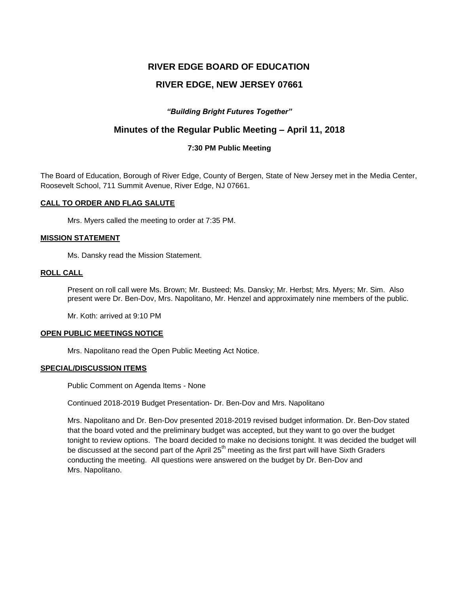# **RIVER EDGE BOARD OF EDUCATION**

# **RIVER EDGE, NEW JERSEY 07661**

# *"Building Bright Futures Together"*

# **Minutes of the Regular Public Meeting – April 11, 2018**

### **7:30 PM Public Meeting**

The Board of Education, Borough of River Edge, County of Bergen, State of New Jersey met in the Media Center, Roosevelt School, 711 Summit Avenue, River Edge, NJ 07661.

### **CALL TO ORDER AND FLAG SALUTE**

Mrs. Myers called the meeting to order at 7:35 PM.

### **MISSION STATEMENT**

Ms. Dansky read the Mission Statement.

## **ROLL CALL**

Present on roll call were Ms. Brown; Mr. Busteed; Ms. Dansky; Mr. Herbst; Mrs. Myers; Mr. Sim. Also present were Dr. Ben-Dov, Mrs. Napolitano, Mr. Henzel and approximately nine members of the public.

Mr. Koth: arrived at 9:10 PM

### **OPEN PUBLIC MEETINGS NOTICE**

Mrs. Napolitano read the Open Public Meeting Act Notice.

### **SPECIAL/DISCUSSION ITEMS**

Public Comment on Agenda Items - None

Continued 2018-2019 Budget Presentation- Dr. Ben-Dov and Mrs. Napolitano

Mrs. Napolitano and Dr. Ben-Dov presented 2018-2019 revised budget information. Dr. Ben-Dov stated that the board voted and the preliminary budget was accepted, but they want to go over the budget tonight to review options. The board decided to make no decisions tonight. It was decided the budget will be discussed at the second part of the April  $25<sup>th</sup>$  meeting as the first part will have Sixth Graders conducting the meeting. All questions were answered on the budget by Dr. Ben-Dov and Mrs. Napolitano.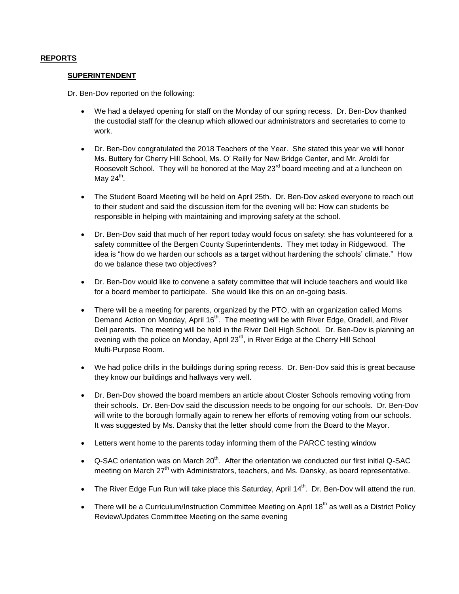### **REPORTS**

### **SUPERINTENDENT**

Dr. Ben-Dov reported on the following:

- We had a delayed opening for staff on the Monday of our spring recess. Dr. Ben-Dov thanked the custodial staff for the cleanup which allowed our administrators and secretaries to come to work.
- Dr. Ben-Dov congratulated the 2018 Teachers of the Year. She stated this year we will honor Ms. Buttery for Cherry Hill School, Ms. O' Reilly for New Bridge Center, and Mr. Aroldi for Roosevelt School. They will be honored at the May  $23<sup>rd</sup>$  board meeting and at a luncheon on May 24<sup>th</sup>.
- The Student Board Meeting will be held on April 25th. Dr. Ben-Dov asked everyone to reach out to their student and said the discussion item for the evening will be: How can students be responsible in helping with maintaining and improving safety at the school.
- Dr. Ben-Dov said that much of her report today would focus on safety: she has volunteered for a safety committee of the Bergen County Superintendents. They met today in Ridgewood. The idea is "how do we harden our schools as a target without hardening the schools' climate." How do we balance these two objectives?
- Dr. Ben-Dov would like to convene a safety committee that will include teachers and would like for a board member to participate. She would like this on an on-going basis.
- There will be a meeting for parents, organized by the PTO, with an organization called Moms Demand Action on Monday, April 16<sup>th</sup>. The meeting will be with River Edge, Oradell, and River Dell parents. The meeting will be held in the River Dell High School. Dr. Ben-Dov is planning an evening with the police on Monday, April  $23<sup>rd</sup>$ , in River Edge at the Cherry Hill School Multi-Purpose Room.
- We had police drills in the buildings during spring recess. Dr. Ben-Dov said this is great because they know our buildings and hallways very well.
- Dr. Ben-Dov showed the board members an article about Closter Schools removing voting from their schools. Dr. Ben-Dov said the discussion needs to be ongoing for our schools. Dr. Ben-Dov will write to the borough formally again to renew her efforts of removing voting from our schools. It was suggested by Ms. Dansky that the letter should come from the Board to the Mayor.
- Letters went home to the parents today informing them of the PARCC testing window
- $\bullet$  Q-SAC orientation was on March 20<sup>th</sup>. After the orientation we conducted our first initial Q-SAC meeting on March 27<sup>th</sup> with Administrators, teachers, and Ms. Dansky, as board representative.
- The River Edge Fun Run will take place this Saturday, April  $14<sup>th</sup>$ . Dr. Ben-Dov will attend the run.
- There will be a Curriculum/Instruction Committee Meeting on April 18<sup>th</sup> as well as a District Policy Review/Updates Committee Meeting on the same evening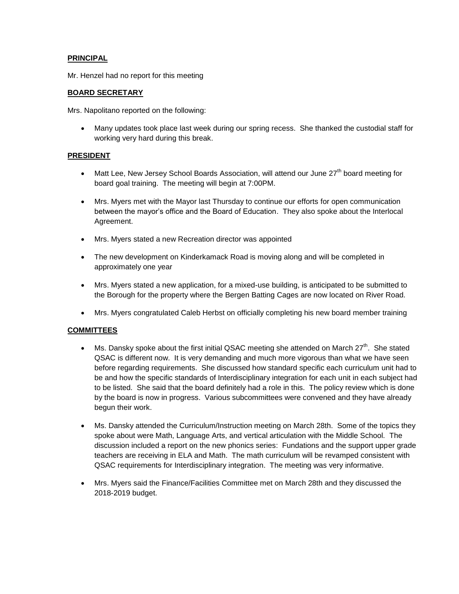# **PRINCIPAL**

Mr. Henzel had no report for this meeting

# **BOARD SECRETARY**

Mrs. Napolitano reported on the following:

 Many updates took place last week during our spring recess. She thanked the custodial staff for working very hard during this break.

## **PRESIDENT**

- Matt Lee, New Jersey School Boards Association, will attend our June 27<sup>th</sup> board meeting for board goal training. The meeting will begin at 7:00PM.
- Mrs. Myers met with the Mayor last Thursday to continue our efforts for open communication between the mayor's office and the Board of Education. They also spoke about the Interlocal Agreement.
- Mrs. Myers stated a new Recreation director was appointed
- The new development on Kinderkamack Road is moving along and will be completed in approximately one year
- Mrs. Myers stated a new application, for a mixed-use building, is anticipated to be submitted to the Borough for the property where the Bergen Batting Cages are now located on River Road.
- Mrs. Myers congratulated Caleb Herbst on officially completing his new board member training

# **COMMITTEES**

- Ms. Dansky spoke about the first initial QSAC meeting she attended on March  $27^{th}$ . She stated QSAC is different now. It is very demanding and much more vigorous than what we have seen before regarding requirements. She discussed how standard specific each curriculum unit had to be and how the specific standards of Interdisciplinary integration for each unit in each subject had to be listed. She said that the board definitely had a role in this. The policy review which is done by the board is now in progress. Various subcommittees were convened and they have already begun their work.
- Ms. Dansky attended the Curriculum/Instruction meeting on March 28th. Some of the topics they spoke about were Math, Language Arts, and vertical articulation with the Middle School. The discussion included a report on the new phonics series: Fundations and the support upper grade teachers are receiving in ELA and Math. The math curriculum will be revamped consistent with QSAC requirements for Interdisciplinary integration. The meeting was very informative.
- Mrs. Myers said the Finance/Facilities Committee met on March 28th and they discussed the 2018-2019 budget.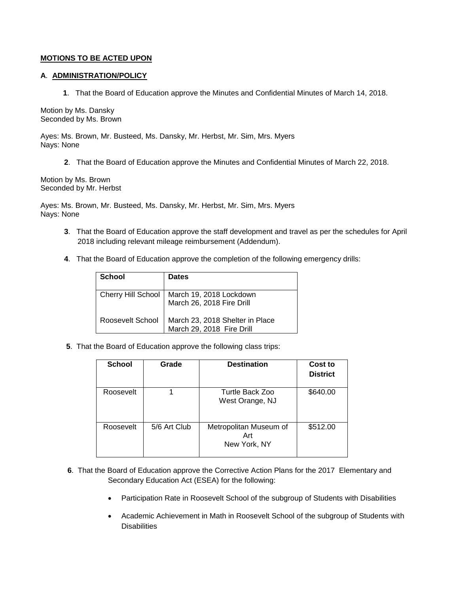### **MOTIONS TO BE ACTED UPON**

### **A**. **ADMINISTRATION/POLICY**

 **1**. That the Board of Education approve the Minutes and Confidential Minutes of March 14, 2018.

Motion by Ms. Dansky Seconded by Ms. Brown

Ayes: Ms. Brown, Mr. Busteed, Ms. Dansky, Mr. Herbst, Mr. Sim, Mrs. Myers Nays: None

**2**. That the Board of Education approve the Minutes and Confidential Minutes of March 22, 2018.

Motion by Ms. Brown Seconded by Mr. Herbst

Ayes: Ms. Brown, Mr. Busteed, Ms. Dansky, Mr. Herbst, Mr. Sim, Mrs. Myers Nays: None

- **3**. That the Board of Education approve the staff development and travel as per the schedules for April 2018 including relevant mileage reimbursement (Addendum).
- **4**. That the Board of Education approve the completion of the following emergency drills:

| <b>School</b>      | <b>Dates</b>                                                 |
|--------------------|--------------------------------------------------------------|
| Cherry Hill School | March 19, 2018 Lockdown<br>March 26, 2018 Fire Drill         |
| Roosevelt School   | March 23, 2018 Shelter in Place<br>March 29, 2018 Fire Drill |

**5**. That the Board of Education approve the following class trips:

| <b>School</b> | Grade        | <b>Destination</b>                            | Cost to<br><b>District</b> |
|---------------|--------------|-----------------------------------------------|----------------------------|
| Roosevelt     |              | Turtle Back Zoo<br>West Orange, NJ            | \$640.00                   |
| Roosevelt     | 5/6 Art Club | Metropolitan Museum of<br>Art<br>New York, NY | \$512.00                   |

- **6**. That the Board of Education approve the Corrective Action Plans for the 2017 Elementary and Secondary Education Act (ESEA) for the following:
	- Participation Rate in Roosevelt School of the subgroup of Students with Disabilities
	- Academic Achievement in Math in Roosevelt School of the subgroup of Students with **Disabilities**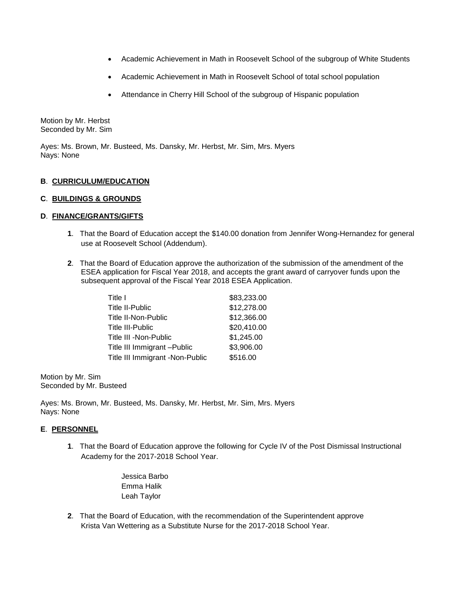- Academic Achievement in Math in Roosevelt School of the subgroup of White Students
- Academic Achievement in Math in Roosevelt School of total school population
- Attendance in Cherry Hill School of the subgroup of Hispanic population

Motion by Mr. Herbst Seconded by Mr. Sim

Ayes: Ms. Brown, Mr. Busteed, Ms. Dansky, Mr. Herbst, Mr. Sim, Mrs. Myers Nays: None

# **B**. **CURRICULUM/EDUCATION**

## **C**. **BUILDINGS & GROUNDS**

## **D**. **FINANCE/GRANTS/GIFTS**

- **1**. That the Board of Education accept the \$140.00 donation from Jennifer Wong-Hernandez for general use at Roosevelt School (Addendum).
- **2**. That the Board of Education approve the authorization of the submission of the amendment of the ESEA application for Fiscal Year 2018, and accepts the grant award of carryover funds upon the subsequent approval of the Fiscal Year 2018 ESEA Application.

| Title I                         | \$83,233.00 |
|---------------------------------|-------------|
| Title II-Public                 | \$12,278.00 |
| Title II-Non-Public             | \$12,366.00 |
| <b>Title III-Public</b>         | \$20,410.00 |
| Title III -Non-Public           | \$1,245.00  |
| Title III Immigrant - Public    | \$3,906.00  |
| Title III Immigrant -Non-Public | \$516.00    |

Motion by Mr. Sim Seconded by Mr. Busteed

Ayes: Ms. Brown, Mr. Busteed, Ms. Dansky, Mr. Herbst, Mr. Sim, Mrs. Myers Nays: None

## **E**. **PERSONNEL**

**1**. That the Board of Education approve the following for Cycle IV of the Post Dismissal Instructional Academy for the 2017-2018 School Year.

> Jessica Barbo Emma Halik Leah Taylor

**2**. That the Board of Education, with the recommendation of the Superintendent approve Krista Van Wettering as a Substitute Nurse for the 2017-2018 School Year.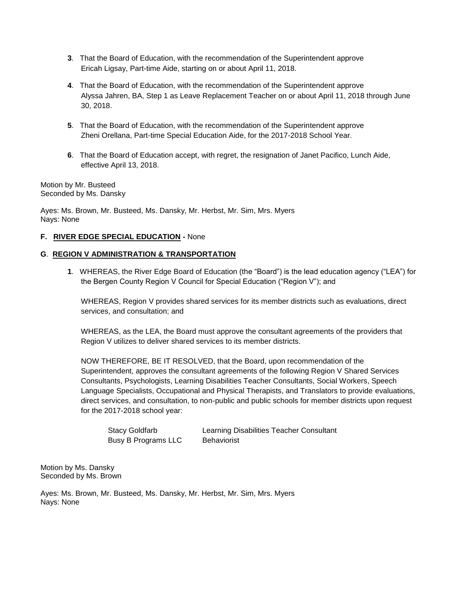- **3**. That the Board of Education, with the recommendation of the Superintendent approve Ericah Ligsay, Part-time Aide, starting on or about April 11, 2018.
- **4**. That the Board of Education, with the recommendation of the Superintendent approve Alyssa Jahren, BA, Step 1 as Leave Replacement Teacher on or about April 11, 2018 through June 30, 2018.
- **5**. That the Board of Education, with the recommendation of the Superintendent approve Zheni Orellana, Part-time Special Education Aide, for the 2017-2018 School Year.
- **6**. That the Board of Education accept, with regret, the resignation of Janet Pacifico, Lunch Aide, effective April 13, 2018.

Motion by Mr. Busteed Seconded by Ms. Dansky

Ayes: Ms. Brown, Mr. Busteed, Ms. Dansky, Mr. Herbst, Mr. Sim, Mrs. Myers Nays: None

## **F. RIVER EDGE SPECIAL EDUCATION -** None

### **G**. **REGION V ADMINISTRATION & TRANSPORTATION**

**1**. WHEREAS, the River Edge Board of Education (the "Board") is the lead education agency ("LEA") for the Bergen County Region V Council for Special Education ("Region V"); and

WHEREAS, Region V provides shared services for its member districts such as evaluations, direct services, and consultation; and

WHEREAS, as the LEA, the Board must approve the consultant agreements of the providers that Region V utilizes to deliver shared services to its member districts.

NOW THEREFORE, BE IT RESOLVED, that the Board, upon recommendation of the Superintendent, approves the consultant agreements of the following Region V Shared Services Consultants, Psychologists, Learning Disabilities Teacher Consultants, Social Workers, Speech Language Specialists, Occupational and Physical Therapists, and Translators to provide evaluations, direct services, and consultation, to non-public and public schools for member districts upon request for the 2017-2018 school year:

| <b>Stacy Goldfarb</b> |  |
|-----------------------|--|
| Busy B Programs LLC   |  |

Learning Disabilities Teacher Consultant Behaviorist

Motion by Ms. Dansky Seconded by Ms. Brown

Ayes: Ms. Brown, Mr. Busteed, Ms. Dansky, Mr. Herbst, Mr. Sim, Mrs. Myers Nays: None